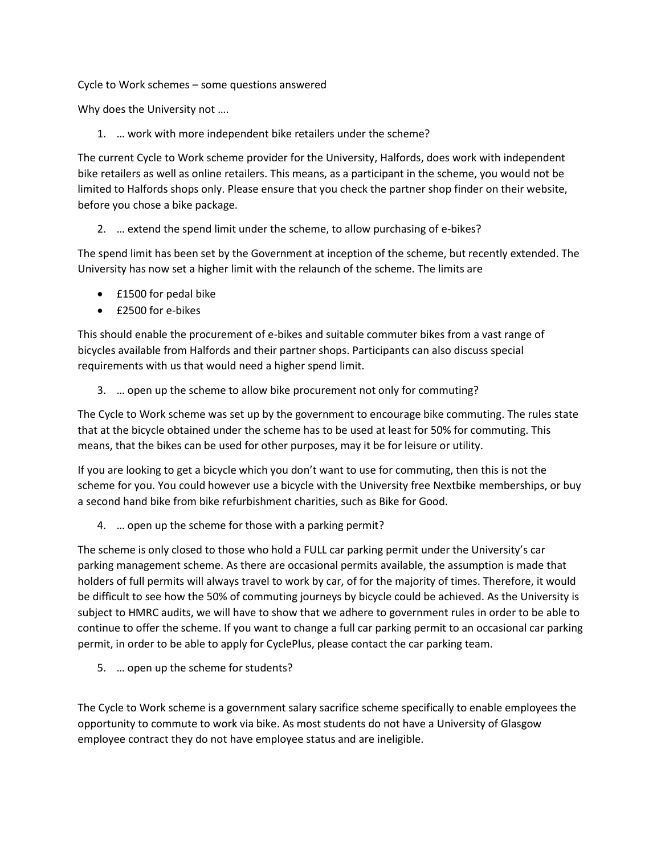Cycle to Work schemes – some questions answered

Why does the University not ….

1. … work with more independent bike retailers under the scheme?

The current Cycle to Work scheme provider for the University, Halfords, does work with independent bike retailers as well as online retailers. This means, as a participant in the scheme, you would not be limited to Halfords shops only. Please ensure that you check the partner shop finder on their website, before you chose a bike package.

2. … extend the spend limit under the scheme, to allow purchasing of e-bikes?

The spend limit has been set by the Government at inception of the scheme, but recently extended. The University has now set a higher limit with the relaunch of the scheme. The limits are

- £1500 for pedal bike
- £2500 for e-bikes

This should enable the procurement of e-bikes and suitable commuter bikes from a vast range of bicycles available from Halfords and their partner shops. Participants can also discuss special requirements with us that would need a higher spend limit.

3. … open up the scheme to allow bike procurement not only for commuting?

The Cycle to Work scheme was set up by the government to encourage bike commuting. The rules state that at the bicycle obtained under the scheme has to be used at least for 50% for commuting. This means, that the bikes can be used for other purposes, may it be for leisure or utility.

If you are looking to get a bicycle which you don't want to use for commuting, then this is not the scheme for you. You could however use a bicycle with the University free Nextbike memberships, or buy a second hand bike from bike refurbishment charities, such as Bike for Good.

4. … open up the scheme for those with a parking permit?

The scheme is only closed to those who hold a FULL car parking permit under the University's car parking management scheme. As there are occasional permits available, the assumption is made that holders of full permits will always travel to work by car, of for the majority of times. Therefore, it would be difficult to see how the 50% of commuting journeys by bicycle could be achieved. As the University is subject to HMRC audits, we will have to show that we adhere to government rules in order to be able to continue to offer the scheme. If you want to change a full car parking permit to an occasional car parking permit, in order to be able to apply for CyclePlus, please contact the car parking team.

5. … open up the scheme for students?

The Cycle to Work scheme is a government salary sacrifice scheme specifically to enable employees the opportunity to commute to work via bike. As most students do not have a University of Glasgow employee contract they do not have employee status and are ineligible.